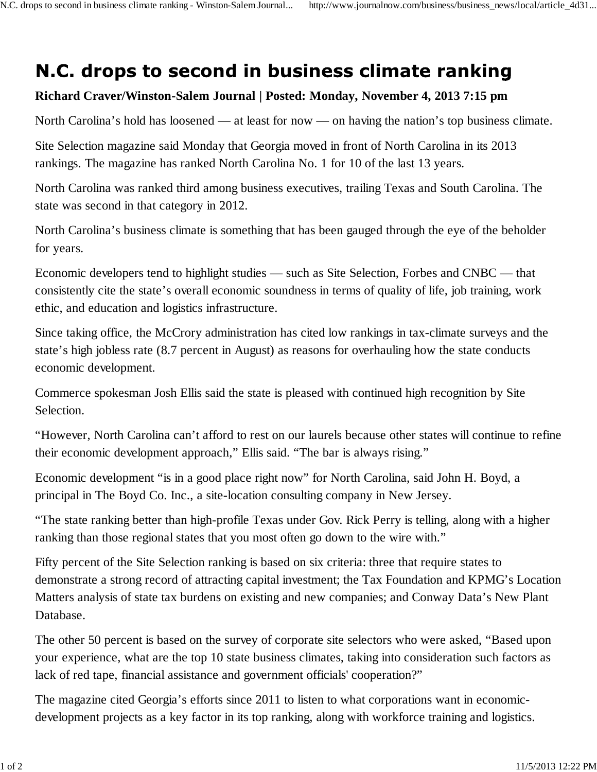## N.C. drops to second in business climate ranking

## **Richard Craver/Winston-Salem Journal | Posted: Monday, November 4, 2013 7:15 pm**

North Carolina's hold has loosened — at least for now — on having the nation's top business climate.

Site Selection magazine said Monday that Georgia moved in front of North Carolina in its 2013 rankings. The magazine has ranked North Carolina No. 1 for 10 of the last 13 years.

North Carolina was ranked third among business executives, trailing Texas and South Carolina. The state was second in that category in 2012.

North Carolina's business climate is something that has been gauged through the eye of the beholder for years.

Economic developers tend to highlight studies — such as Site Selection, Forbes and CNBC — that consistently cite the state's overall economic soundness in terms of quality of life, job training, work ethic, and education and logistics infrastructure.

Since taking office, the McCrory administration has cited low rankings in tax-climate surveys and the state's high jobless rate (8.7 percent in August) as reasons for overhauling how the state conducts economic development.

Commerce spokesman Josh Ellis said the state is pleased with continued high recognition by Site Selection.

"However, North Carolina can't afford to rest on our laurels because other states will continue to refine their economic development approach," Ellis said. "The bar is always rising."

Economic development "is in a good place right now" for North Carolina, said John H. Boyd, a principal in The Boyd Co. Inc., a site-location consulting company in New Jersey.

"The state ranking better than high-profile Texas under Gov. Rick Perry is telling, along with a higher ranking than those regional states that you most often go down to the wire with."

Fifty percent of the Site Selection ranking is based on six criteria: three that require states to demonstrate a strong record of attracting capital investment; the Tax Foundation and KPMG's Location Matters analysis of state tax burdens on existing and new companies; and Conway Data's New Plant Database.

The other 50 percent is based on the survey of corporate site selectors who were asked, "Based upon your experience, what are the top 10 state business climates, taking into consideration such factors as lack of red tape, financial assistance and government officials' cooperation?"

The magazine cited Georgia's efforts since 2011 to listen to what corporations want in economicdevelopment projects as a key factor in its top ranking, along with workforce training and logistics.